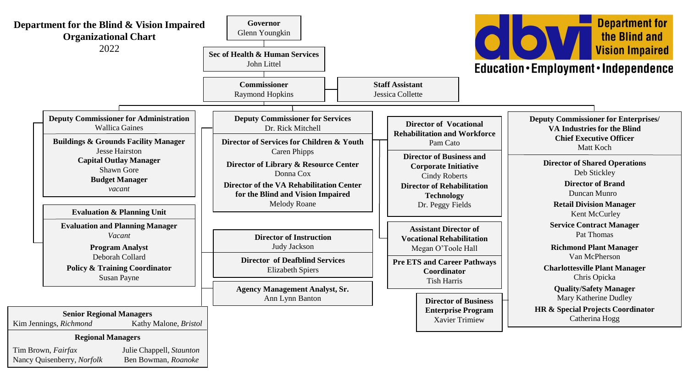